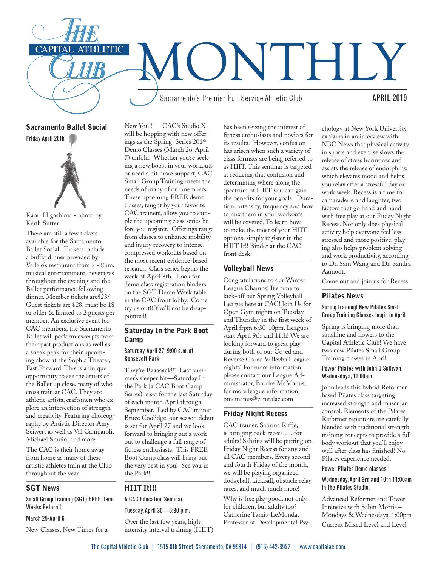

Sacramento Ballet Social Friday April 26th



Kaori Higashima - photo by Keith Sutter

There are still a few tickets available for the Sacramento Ballet Social. Tickets include a buffet dinner provided by Vallejo's restaurant from 7 - 8pm, musical entertainment, beverages throughout the evening and the Ballet performance following dinner. Member tickets are\$23/ Guest tickets are \$28, must be 18 or older & limited to 2 guests per member. An exclusive event for CAC members, the Sacramento Ballet will perform excerpts from their past productions as well as a sneak peak for their upcoming show at the Sophia Theater, Fast Forward. This is a unique opportunity to see the artists of the Ballet up close, many of who cross train at CAC. They are athletic artists, craftsmen who explore an intersection of strength and creativity. Featuring choreography by Artistic Director Amy Seiwert as well as Val Caniparoli, Michael Smuin, and more.

The CAC is their home away from home as many of these artistic athletes train at the Club throughout the year.

## SGT News

Small Group Training (SGT) FREE Demo Weeks Return!!

#### March 25-April 6

New Classes, New Times for a

New You!! —CAC's Studio X will be hopping with new offerings as the Spring Series 2019 Demo Classes (March 26-April 7) unfold. Whether you're seeking a new boost in your workouts or need a bit more support, CAC Small Group Training meets the needs of many of our members. These upcoming FREE demo classes, taught by your favorite CAC trainers, allow you to sample the upcoming class series before you register. Offerings range from classes to enhance mobility and injury recovery to intense, compressed workouts based on the most recent evidence-based research. Class series begins the week of April 8th. Look for demo class registration binders on the SGT Demo Week table in the CAC front lobby. Come try us out!! You'll not be disappointed!

# Saturday In the Park Boot Camp

## Saturday, April 27; 9:00 a.m. at Roosevelt Park

They're Baaaaack!!! Last summer's sleeper hit—Saturday In the Park (a CAC Boot Camp Series) is set for the last Saturday of each month April through September. Led by CAC trainer Bruce Coolidge, our season debut is set for April 27 and we look forward to bringing out a workout to challenge a full range of fitness enthusiasts. This FREE Boot Camp class will bring out the very best in you! See you in the Park!!

## HIIT It!!!

## A CAC Education Seminar

Tuesday, April 30—6:30 p.m.

Over the last few years, highintensity interval training (HIIT) has been seizing the interest of fitness enthusiasts and novices for its results. However, confusion has arisen when such a variety of class formats are being referred to as HIIT. This seminar is targeted at reducing that confusion and determining where along the spectrum of HIIT you can gain the benefits for your goals. Duration, intensity, frequency and how to mix them in your workouts will be covered. To learn how to make the most of your HIIT options, simply register in the HIIT It!! Binder at the CAC front desk.

## Volleyball News

Congratulations to our Winter League Champs! It's time to kick-off our Spring Volleyball League here at CAC! Join Us for Open Gym nights on Tuesday and Thursday in the first week of April frpm 6:30-10pm. Leagues start April 9th and 11th! We are looking forward to great play during both of our Co-ed and Reverse Co-ed Volleyball league nights! For more information, please contact our League Administrator, Brooke McManus, for more league information! bmcmanus@capitalac.com

## Friday Night Recess

CAC trainer, Sabrina Riffle, is bringing back recess….. for adults! Sabrina will be putting on Friday Night Recess for any and all CAC members. Every second and fourth Friday of the month, we will be playing organized dodgeball, kickball, obstacle relay races, and much much more!

Why is free play good, not only for children, but adults too? Catherine Tamis-LeMonda, Professor of Developmental Psy-

chology at New York University, explains in an interview with NBC News that physical activity in sports and exercise slows the release of stress hormones and assists the release of endorphins, which elevates mood and helps you relax after a stressful day or work week. Recess is a time for camaraderie and laughter, two factors that go hand and hand with free play at our Friday Night Recess. Not only does physical activity help everyone feel less stressed and more positive, playing also helps problem solving and work productivity, according to Dr. Sam Wang and Dr. Sandra Aamodt.

Come out and join us for Recess

#### Pilates News

## Spring Training! New Pilates Small Group Training Classes begin in April

Spring is bringing more than sunshine and flowers to the Capital Athletic Club! We have two new Pilates Small Group Training classes in April.

#### Power Pilates with John O'Sullivan – Wednesdays, 11:00am

John leads this hybrid Reformer based Pilates class targeting increased strength and muscular control. Elements of the Pilates Reformer repertoire are carefully blended with traditional strength training concepts to provide a full body workout that you'll enjoy well after class has finished! No Pilates experience needed.

## Power Pilates Demo classes:

## Wednesday, April 3rd and 10th 11:00am in the Pilates Studio.

Advanced Reformer and Tower Intensive with Sabin Morris – Mondays & Wednesdays, 1:00pm Current Mixed Level and Level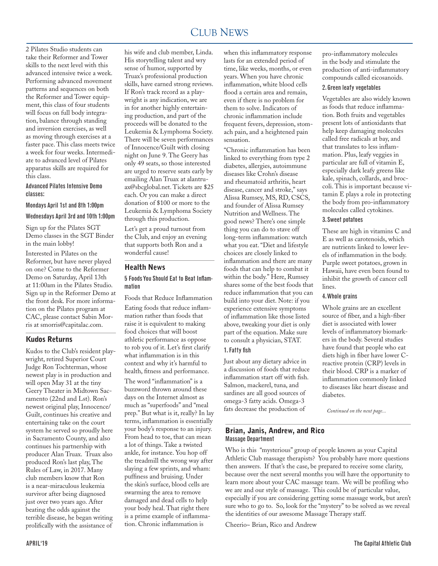#### CLUB NEWS 2000 FOR THE NEWS 2000 FOR THE NEWS 2000 FOR THE NEWS 2000 FOR THE NEWS 2000 FOR THE NEWS 2000 FOR THE NEWS 2000 FOR THE NEWS 2000 FOR THE NEWS 2000 FOR THE NEWS 2000 FOR THE NEWS 2000 FOR THE NEWS 2000 FOR THE N CLUB NEWS

2 Pilates Studio students can take their Reformer and Tower skills to the next level with this advanced intensive twice a week. Performing advanced movement patterns and sequences on both the Reformer and Tower equipment, this class of four students will focus on full body integration, balance through standing and inversion exercises, as well as moving through exercises at a faster pace. This class meets twice a week for four weeks. Intermediate to advanced level of Pilates apparatus skills are required for this class.

#### Advanced Pilates Intensive Demo classes:

#### Mondays April 1st and 8th 1:00pm

#### Wednesdays April 3rd and 10th 1:00pm

Sign up for the Pilates SGT Demo classes in the SGT Binder in the main lobby!

Interested in Pilates on the Reformer, but have never played on one? Come to the Reformer Demo on Saturday, April 13th at 11:00am in the Pilates Studio. Sign up in the Reformer Demo at the front desk. For more information on the Pilates program at CAC, please contact Sabin Morris at smorris@capitalac.com.

## Kudos Returns

Kudos to the Club's resident playwright, retired Superior Court Judge Ron Tochterman, whose newest play is in production and will open May 31 at the tiny Geery Theater in Midtown Sacramento (22nd and Lst). Ron's newest original play, Innocence/ Guilt, continues his creative and entertaining take on the court system he served so proudly here in Sacramento County, and also continues his partnership with producer Alan Truax. Truax also produced Ron's last play, The Rules of Law, in 2017. Many club members know that Ron is a near-miraculous leukemia survivor after being diagnosed just over two years ago. After beating the odds against the terrible disease, he began writing prolifically with the assistance of

his wife and club member, Linda. His storytelling talent and wry sense of humor, supported by Truax's professional production skills, have earned strong reviews. If Ron's track record as a playwright is any indication, we are in for another highly entertaining production, and part of the proceeds will be donated to the Leukemia & Lymphoma Society. There will be seven performances of Innocence/Guilt with closing night on June 9. The Geery has only 49 seats, so those interested are urged to reserve seats early by emailing Alan Truax at alantruax@sbcglobal.net. Tickets are \$25 each. Or you can make a direct donation of \$100 or more to the Leukemia & Lymphoma Society through this production.

Let's get a proud turnout from the Club, and enjoy an evening that supports both Ron and a wonderful cause!

## Health News

## 5 Foods You Should Eat to Beat Inflammation

Foods that Reduce Inflammation Eating foods that reduce inflammation rather than foods that raise it is equivalent to making food choices that will boost athletic performance as oppose to rob you of it. Let's first clarify what inflammation is in this context and why it's harmful to health, fitness and performance. The word "inflammation" is a buzzword thrown around these days on the Internet almost as much as "superfoods" and "meal prep." But what is it, really? In lay terms, inflammation is essentially your body's response to an injury. From head to toe, that can mean a lot of things. Take a twisted ankle, for instance. You hop off the treadmill the wrong way after slaying a few sprints, and wham: puffiness and bruising. Under the skin's surface, blood cells are swarming the area to remove damaged and dead cells to help your body heal. That right there is a prime example of inflammation. Chronic inflammation is

when this inflammatory response lasts for an extended period of time, like weeks, months, or even years. When you have chronic inflammation, white blood cells flood a certain area and remain, even if there is no problem for them to solve. Indicators of chronic inflammation include frequent fevers, depression, stomach pain, and a heightened pain sensation.

"Chronic inflammation has been linked to everything from type 2 diabetes, allergies, autoimmune diseases like Crohn's disease and rheumatoid arthritis, heart disease, cancer and stroke," says Alissa Rumsey, MS, RD, CSCS, and founder of Alissa Rumsey Nutrition and Wellness. The good news? There's one simple thing you can do to stave off long-term inflammation: watch what you eat. "Diet and lifestyle choices are closely linked to inflammation and there are many foods that can help to combat it within the body." Here, Rumsey shares some of the best foods that reduce inflammation that you can build into your diet. Note: if you experience extensive symptoms of inflammation like those listed above, tweaking your diet is only part of the equation. Make sure to consult a physician, STAT. 1. Fatty fish

Just about any dietary advice in a discussion of foods that reduce inflammation start off with fish. Salmon, mackerel, tuna, and sardines are all good sources of omega-3 fatty acids. Omega-3 fats decrease the production of

## Brian, Janis, Andrew, and Rico Massage Department

Who is this "mysterious" group of people known as your Capital Athletic Club massage therapists? You probably have more questions then answers. If that's the case, be prepared to receive some clarity, because over the next several months you will have the opportunity to learn more about your CAC massage team. We will be profiling who we are and our style of massage. This could be of particular value, especially if you are considering getting some massage work, but aren't sure who to go to. So, look for the "mystery" to be solved as we reveal the identities of our awesome Massage Therapy staff.

Cheerio~ Brian, Rico and Andrew

pro-inflammatory molecules in the body and stimulate the production of anti-inflammatory compounds called eicosanoids.

## 2. Green leafy vegetables

Vegetables are also widely known as foods that reduce inflammation. Both fruits and vegetables present lots of antioxidants that help keep damaging molecules called free radicals at bay, and that translates to less inflammation. Plus, leafy veggies in particular are full of vitamin E, especially dark leafy greens like kale, spinach, collards, and broccoli. This is important because vitamin E plays a role in protecting the body from pro-inflammatory molecules called cytokines.

#### 3. Sweet potatoes

These are high in vitamins C and E as well as carotenoids, which are nutrients linked to lower levels of inflammation in the body. Purple sweet potatoes, grown in Hawaii, have even been found to inhibit the growth of cancer cell lines.

#### 4. Whole grains

Whole grains are an excellent source of fiber, and a high-fiber diet is associated with lower levels of inflammatory biomarkers in the body. Several studies have found that people who eat diets high in fiber have lower Creactive protein (CRP) levels in their blood. CRP is a marker of inflammation commonly linked to diseases like heart disease and diabetes.

*Continued on the next page...*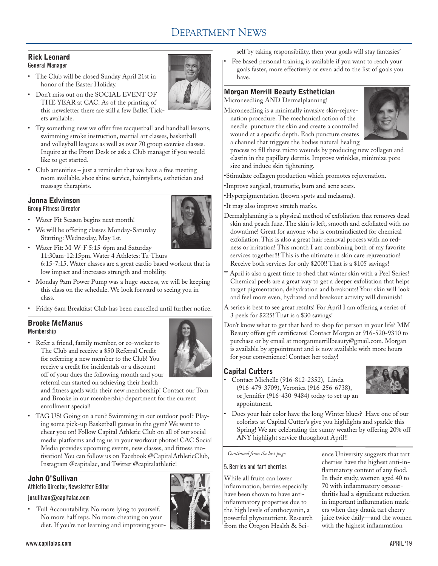# DEPARTMENT NEWS

#### Rick Leonard General Manager

- The Club will be closed Sunday April 21st in honor of the Easter Holiday.
- Don't miss out on the SOCIAL EVENT OF THE YEAR at CAC. As of the printing of this newsletter there are still a few Ballet Tickets available.
- Try something new we offer free racquetball and handball lessons, swimming stroke instruction, martial art classes, basketball and volleyball leagues as well as over 70 group exercise classes. Inquire at the Front Desk or ask a Club manager if you would like to get started.
- Club amenities just a reminder that we have a free meeting room available, shoe shine service, hairstylists, esthetician and massage therapists.

## Jonna Edwinson Group Fitness Director

- Water Fit Season begins next month!
- We will be offering classes Monday-Saturday Starting: Wednesday, May 1st.



- Water Fit: M-W-F 5:15-6pm and Saturday 11:30am-12:15pm. Water 4 Athletes: Tu-Thurs 6:15-7:15. Water classes are a great cardio based workout that is low impact and increases strength and mobility.
- Monday 9am Power Pump was a huge success, we will be keeping this class on the schedule. We look forward to seeing you in class.
- Friday 6am Breakfast Club has been cancelled until further notice.

## Brooke McManus Membership

• Refer a friend, family member, or co-worker to The Club and receive a \$50 Referral Credit for referring a new member to the Club! You receive a credit for incidentals or a discount off of your dues the following month and your



referral can started on achieving their health and fitness goals with their new membership! Contact our Tom and Brooke in our membership department for the current enrollment special!

• TAG US! Going on a run? Swimming in our outdoor pool? Playing some pick-up Basketball games in the gym? We want to cheer you on! Follow Capital Athletic Club on all of our social media platforms and tag us in your workout photos! CAC Social Media provides upcoming events, new classes, and fitness motivation! You can follow us on Facebook @CapitalAthleticClub, Instagram @capitalac, and Twitter @capitalathletic!

# John O'Sullivan

Athletic Director, Newsletter Editor

## josullivan@capitalac.com

• 'Full Accountability. No more lying to yourself. No more half reps. No more cheating on your diet. If you're not learning and improving your-

self by taking responsibility, then your goals will stay fantasies'

• Fee based personal training is available if you want to reach your goals faster, more effectively or even add to the list of goals you have.

## Morgan Merrill Beauty Esthetician Microneedling AND Dermalplanning!

Microneedling is a minimally invasive skin-rejuvenation procedure. The mechanical action of the needle puncture the skin and create a controlled wound at a specific depth. Each puncture creates a channel that triggers the bodies natural healing



process to fill these micro wounds by producing new collagen and elastin in the papillary dermis. Improve wrinkles, minimize pore size and induce skin tightening.

•Stimulate collagen production which promotes rejuvenation.

- •Improve surgical, traumatic, burn and acne scars.
- •Hyperpigmentation (brown spots and melasma).
- •It may also improve stretch marks.
- Dermalplanning is a physical method of exfoliation that removes dead skin and peach fuzz. The skin is left, smooth and exfoliated with no downtime! Great for anyone who is contraindicated for chemical exfoliation. This is also a great hair removal process with no redness or irritation! This month I am combining both of my favorite services together!!! This is the ultimate in skin care rejuvenation! Receive both services for only \$200!! That is a \$105 savings!
- \*\* April is also a great time to shed that winter skin with a Peel Series! Chemical peels are a great way to get a deeper exfoliation that helps target pigmentation, dehydration and breakouts! Your skin will look and feel more even, hydrated and breakout activity will diminish!
- A series is best to see great results! For April I am offering a series of 3 peels for \$225! That is a \$30 savings!
- Don't know what to get that hard to shop for person in your life? MM Beauty offers gift certificates! Contact Morgan at 916-520-9310 to purchase or by email at morganmerrillbeauty@gmail.com. Morgan is available by appointment and is now available with more hours for your convenience! Contact her today!

# Capital Cutters

• Contact Michelle (916-812-2352), Linda (916-479-3709), Veronica (916-256-6738), or Jennifer (916-430-9484) today to set up an appointment.



• Does your hair color have the long Winter blues? Have one of our colorists at Capital Cutter's give you highlights and sparkle this Spring! We are celebrating the sunny weather by offering 20% off ANY highlight service throughout April!!

# *Continued from the last page*

# 5. Berries and tart cherries

While all fruits can lower inflammation, berries especially have been shown to have antiinflammatory properties due to the high levels of anthocyanin, a powerful phytonutrient. Research from the Oregon Health & Sci-

ence University suggests that tart cherries have the highest anti-inflammatory content of any food. In their study, women aged 40 to 70 with inflammatory osteoarthritis had a significant reduction in important inflammation markers when they drank tart cherry juice twice daily—and the women with the highest inflammation